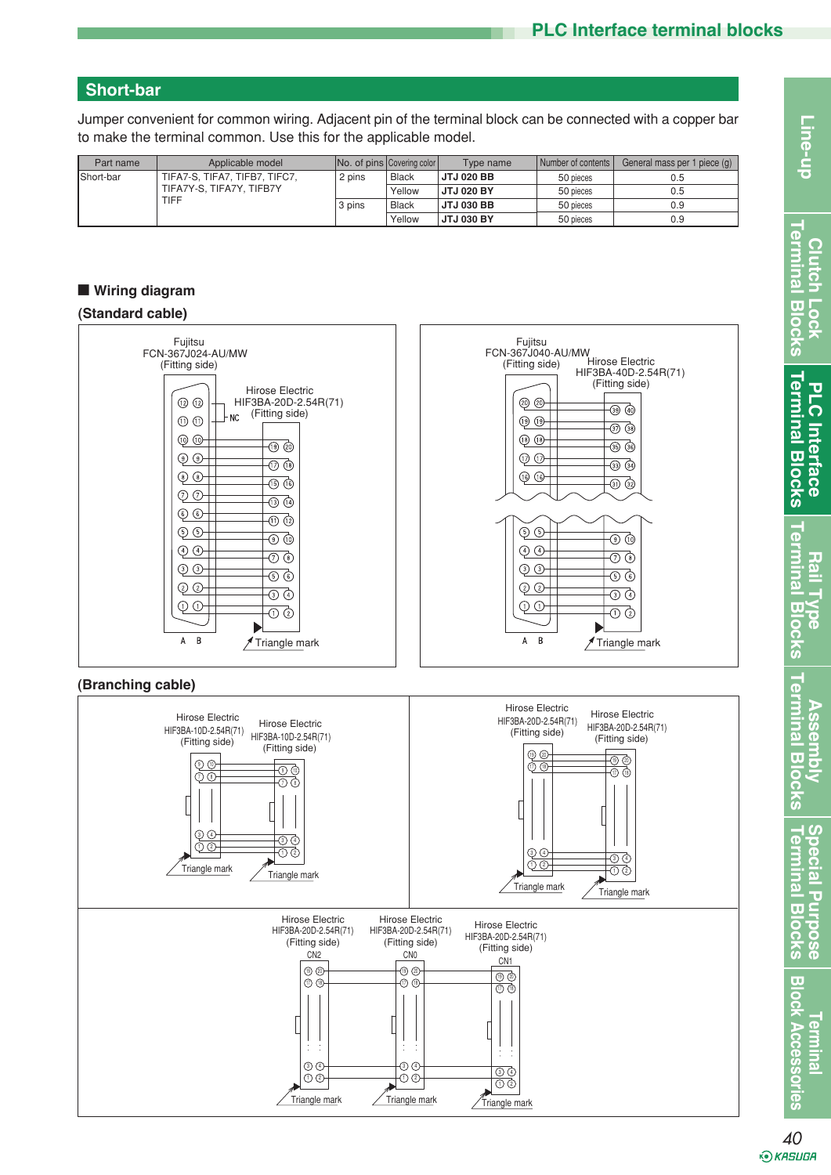# **Short-bar**

Jumper convenient for common wiring. Adjacent pin of the terminal block can be connected with a copper bar to make the terminal common. Use this for the applicable model.

| Part name                | Applicable model              |        | No. of pins Covering color | Type name         | Number of contents | General mass per 1 piece (g) |
|--------------------------|-------------------------------|--------|----------------------------|-------------------|--------------------|------------------------------|
| Short-bar                | TIFA7-S. TIFA7. TIFB7. TIFC7. | 2 pins | <b>Black</b>               | <b>JTJ 020 BB</b> | 50 pieces          | 0.5                          |
| TIFA7Y-S. TIFA7Y. TIFB7Y |                               |        | Yellow                     | <b>JTJ 020 BY</b> | 50 pieces          | 0.5                          |
|                          | <b>TIFF</b>                   | 3 pins | <b>Black</b>               | <b>JTJ 030 BB</b> | 50 pieces          | 0.9                          |
|                          |                               |        | Yellow                     | <b>JTJ 030 BY</b> | 50 pieces          | 0.9                          |

## ■ **Wiring diagram**

## **(Standard cable)**



### **(Branching cable)**



**Clutch Lock Terminal Blocks**

erminal **Clutch** 

 $\frac{1}{\alpha}$ **Lock**  $\overline{5}$ බි

**PLC Interface Terminal Blocks**

**Terminal Blocks PLC** Interface

**Termina** 

 $\overline{\mathbf{u}}$ 

**Ilocks** 

**Terminal** 

**Rail Type Terminal Blocks**

**Assembly Terminal Blocks**

**Speci**  $\overline{\mathbf{P}}$ Ē

ial Purpo

Assemb  $\overline{u}$  $\overline{5}$ කි

**Terminal Blocks Special Purpose**

 $\overline{\mathbf{u}}$ 

lock Accessories

E<br>S  $\overline{\mathbf{u}}$  $\overline{SO}$ ် (၈<br>၈ <u>ვ</u>

*<u><b>Termina</u>*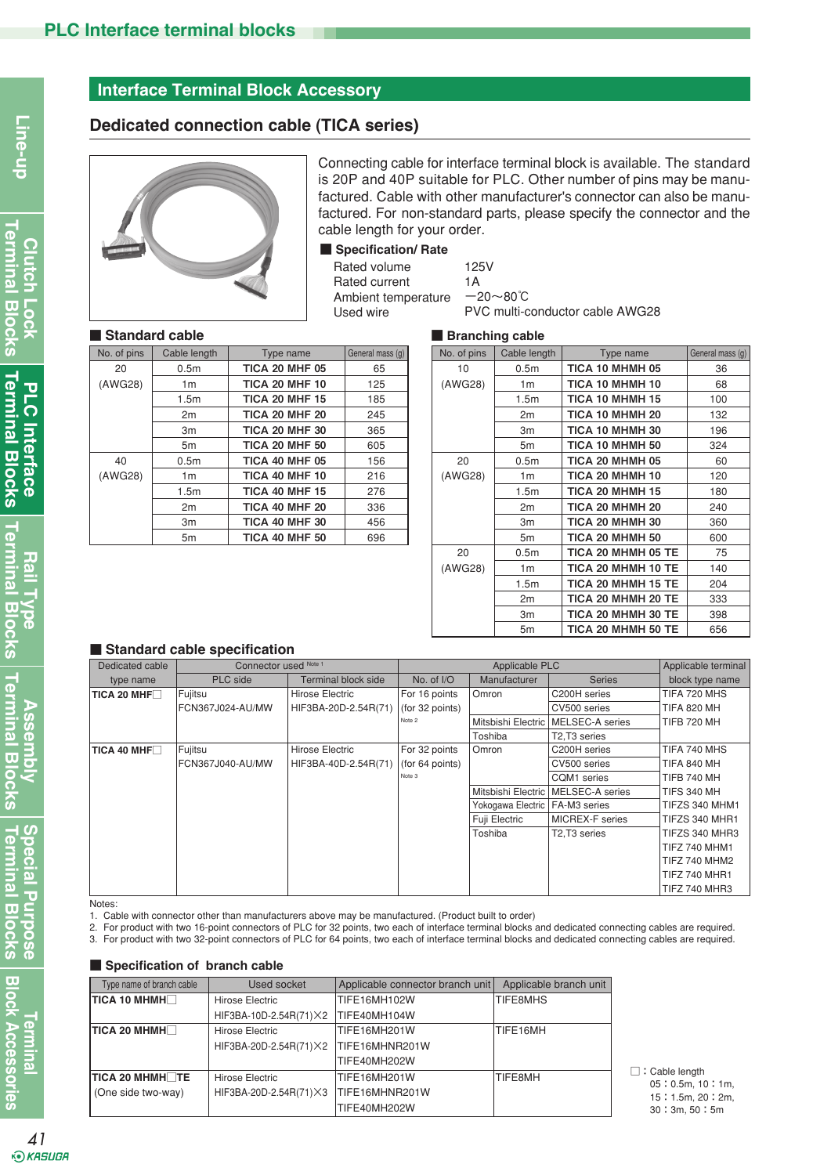# **Interface Terminal Block Accessory**

# **Dedicated connection cable (TICA series)**



Connecting cable for interface terminal block is available. The standard is 20P and 40P suitable for PLC. Other number of pins may be manufactured. Cable with other manufacturer's connector can also be manufactured. For non-standard parts, please specify the connector and the cable length for your order.

### ■ Specification/ Rate

Rated volume Rated current Ambient temperature Used wire

| 125V                            |
|---------------------------------|
| 1 A                             |
| $-20 \sim 80^{\circ}$ C         |
| PVC multi-conductor cable AWG28 |
|                                 |

#### ■ **Standard cable** ■ Branching cable

|             | <b>Stanuaru Capic</b> |                       |                  |             | <b>Dialiciliig caple</b> |                     |
|-------------|-----------------------|-----------------------|------------------|-------------|--------------------------|---------------------|
| No. of pins | Cable length          | Type name             | General mass (g) | No. of pins | Cable length             | Type name           |
| 20          | 0.5 <sub>m</sub>      | <b>TICA 20 MHF 05</b> | 65               | 10          | 0.5 <sub>m</sub>         | <b>TICA 10 MHMH</b> |
| (AWG28)     | 1 <sub>m</sub>        | <b>TICA 20 MHF 10</b> | 125              | (AWG28)     | 1 <sub>m</sub>           | <b>TICA 10 MHMH</b> |
|             | 1.5 <sub>m</sub>      | <b>TICA 20 MHF 15</b> | 185              |             | 1.5 <sub>m</sub>         | <b>TICA 10 MHMH</b> |
|             | 2m                    | <b>TICA 20 MHF 20</b> | 245              |             | 2m                       | <b>TICA 10 MHMH</b> |
|             | Зm                    | <b>TICA 20 MHF 30</b> | 365              |             | 3m                       | <b>TICA 10 MHMH</b> |
|             | 5m                    | <b>TICA 20 MHF 50</b> | 605              |             | 5 <sub>m</sub>           | <b>TICA 10 MHMH</b> |
| 40          | 0.5 <sub>m</sub>      | <b>TICA 40 MHF 05</b> | 156              | 20          | 0.5 <sub>m</sub>         | <b>TICA 20 MHMH</b> |
| (AWG28)     | 1 <sub>m</sub>        | <b>TICA 40 MHF 10</b> | 216              | (AWG28)     | 1 <sub>m</sub>           | <b>TICA 20 MHMH</b> |
|             | 1.5 <sub>m</sub>      | <b>TICA 40 MHF 15</b> | 276              |             | 1.5 <sub>m</sub>         | <b>TICA 20 MHMH</b> |
|             | 2m                    | <b>TICA 40 MHF 20</b> | 336              |             | 2 <sub>m</sub>           | <b>TICA 20 MHMH</b> |
|             | Зm                    | <b>TICA 40 MHF 30</b> | 456              |             | 3m                       | <b>TICA 20 MHMH</b> |
|             | 5m                    | <b>TICA 40 MHF 50</b> | 696              |             | 5m                       | <b>TICA 20 MHMH</b> |
|             |                       |                       |                  | $\sim$      | $\sim$ $-$               | $\frac{1}{2}$       |

|                  | $\blacksquare$ Dialiuling capit |                  |                    |                  |
|------------------|---------------------------------|------------------|--------------------|------------------|
| General mass (g) | No. of pins                     | Cable length     | Type name          | General mass (g) |
| 65               | 10                              | 0.5 <sub>m</sub> | TICA 10 MHMH 05    | 36               |
| 125              | (AWG28)                         | 1 <sub>m</sub>   | TICA 10 MHMH 10    | 68               |
| 185              |                                 | 1.5 <sub>m</sub> | TICA 10 MHMH 15    | 100              |
| 245              |                                 | 2m               | TICA 10 MHMH 20    | 132              |
| 365              |                                 | 3m               | TICA 10 MHMH 30    | 196              |
| 605              |                                 | 5m               | TICA 10 MHMH 50    | 324              |
| 156              | 20                              | 0.5 <sub>m</sub> | TICA 20 MHMH 05    | 60               |
| 216              | (AWG28)                         | 1 <sub>m</sub>   | TICA 20 MHMH 10    | 120              |
| 276              |                                 | 1.5 <sub>m</sub> | TICA 20 MHMH 15    | 180              |
| 336              |                                 | 2m               | TICA 20 MHMH 20    | 240              |
| 456              |                                 | 3m               | TICA 20 MHMH 30    | 360              |
| 696              |                                 | 5m               | TICA 20 MHMH 50    | 600              |
|                  | 20                              | 0.5 <sub>m</sub> | TICA 20 MHMH 05 TE | 75               |
|                  | (AWG28)                         | 1 <sub>m</sub>   | TICA 20 MHMH 10 TE | 140              |
|                  |                                 | 1.5m             | TICA 20 MHMH 15 TE | 204              |
|                  |                                 | 2m               | TICA 20 MHMH 20 TE | 333              |
|                  |                                 | 3m               | TICA 20 MHMH 30 TE | 398              |
|                  |                                 | 5m               | TICA 20 MHMH 50 TE | 656              |

### ■ **Standard cable specification**

| Dedicated cable    | Connector used Note 1 |                      |                 | Applicable PLC     |                 |                      |  |
|--------------------|-----------------------|----------------------|-----------------|--------------------|-----------------|----------------------|--|
| type name          | PLC side              | Terminal block side  | No. of $NO$     | Manufacturer       | <b>Series</b>   | block type name      |  |
| TICA 20 MHF $\Box$ | Fujitsu               | Hirose Electric      | For 16 points   | Omron              | C200H series    | TIFA 720 MHS         |  |
|                    | FCN367J024-AU/MW      | HIF3BA-20D-2.54R(71) | (for 32 points) |                    | CV500 series    | <b>TIFA 820 MH</b>   |  |
|                    |                       |                      | Note 2          | Mitsbishi Electric | MELSEC-A series | <b>TIFB 720 MH</b>   |  |
|                    |                       |                      |                 | Toshiba            | T2,T3 series    |                      |  |
| TICA 40 MHF $\Box$ | Fujitsu               | Hirose Electric      | For 32 points   | Omron              | C200H series    | TIFA 740 MHS         |  |
|                    | FCN367J040-AU/MW      | HIF3BA-40D-2.54R(71) | (for 64 points) |                    | CV500 series    | TIFA 840 MH          |  |
|                    |                       |                      | Note 3          |                    | CQM1 series     | <b>TIFB 740 MH</b>   |  |
|                    |                       |                      |                 | Mitsbishi Electric | MELSEC-A series | <b>TIFS 340 MH</b>   |  |
|                    |                       |                      |                 | Yokogawa Electric  | FA-M3 series    | TIFZS 340 MHM1       |  |
|                    |                       |                      |                 | Fuji Electric      | MICREX-F series | TIFZS 340 MHR1       |  |
|                    |                       |                      |                 | Toshiba            | T2,T3 series    | TIFZS 340 MHR3       |  |
|                    |                       |                      |                 |                    |                 | <b>TIFZ 740 MHM1</b> |  |
|                    |                       |                      |                 |                    |                 | TIFZ 740 MHM2        |  |
|                    |                       |                      |                 |                    |                 | <b>TIFZ 740 MHR1</b> |  |
|                    |                       |                      |                 |                    |                 | <b>TIFZ 740 MHR3</b> |  |

Notes:

1. Cable with connector other than manufacturers above may be manufactured. (Product built to order)

2. For product with two 16-point connectors of PLC for 32 points, two each of interface terminal blocks and dedicated connecting cables are required.

3. For product with two 32-point connectors of PLC for 64 points, two each of interface terminal blocks and dedicated connecting cables are required.

#### ■ Specification of branch cable

| Type name of branch cable | Used socket             | Applicable connector branch unit | Applicable branch unit |
|---------------------------|-------------------------|----------------------------------|------------------------|
| TICA 10 MHMH              | Hirose Electric         | <b>TIFE16MH102W</b>              | <b>TIFE8MHS</b>        |
|                           | HIF3BA-10D-2.54R(71) X2 | TIFE40MH104W                     |                        |
| TICA 20 MHMH $\Box$       | Hirose Electric         | <b>TIFE16MH201W</b>              | TIFE16MH               |
|                           | HIF3BA-20D-2.54R(71) X2 | TIFE16MHNR201W                   |                        |
|                           |                         | TIFE40MH202W                     |                        |
| TICA 20 MHMHTE            | Hirose Electric         | TIFE16MH201W                     | TIFE8MH                |
| (One side two-way)        | HIF3BA-20D-2.54R(71) X3 | TIFE16MHNR201W                   |                        |
|                           |                         | TIFE40MH202W                     |                        |

□: Cable length 05:0.5m, 10:1m, 15:1.5m, 20:2m, 30:3m, 50:5m

Line-up

 $\Omega$ 

 $\frac{1}{2}$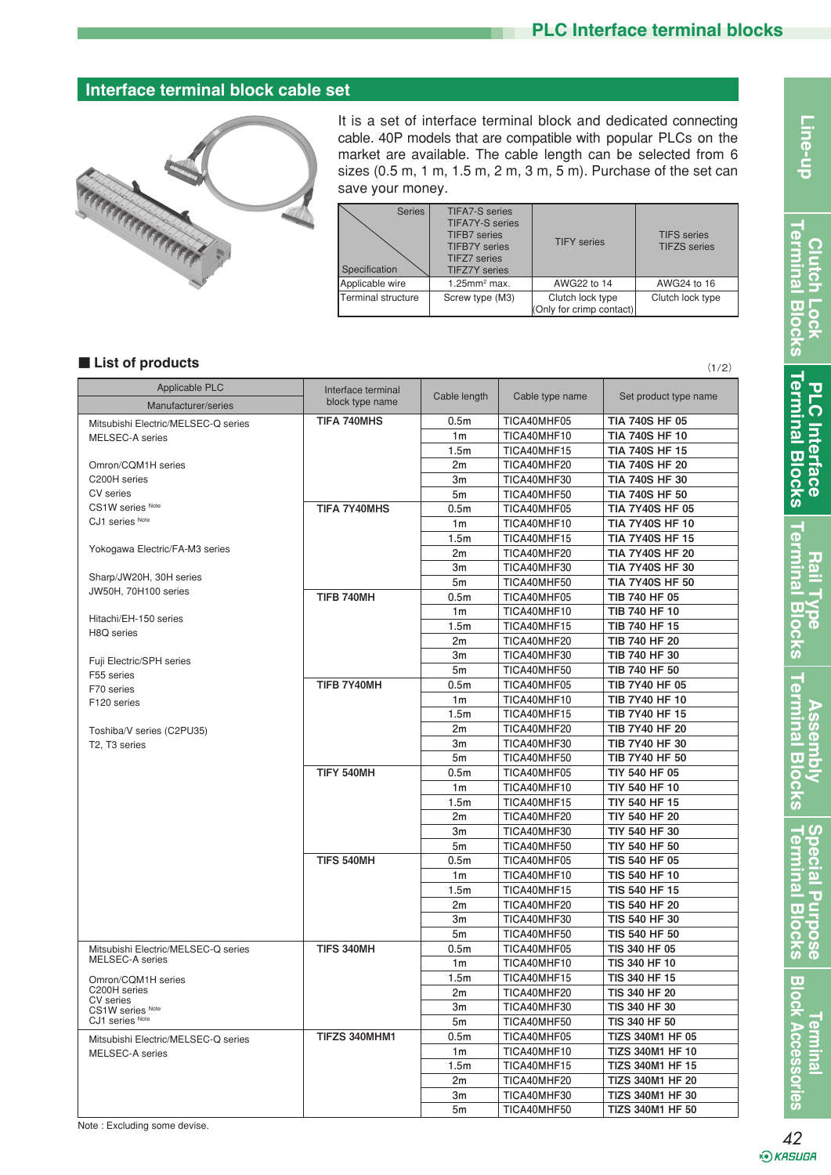# **Interface terminal block cable set**



It is a set of interface terminal block and dedicated connecting cable. 40P models that are compatible with popular PLCs on the market are available. The cable length can be selected from 6 sizes (0.5 m, 1 m, 1.5 m, 2 m, 3 m, 5 m). Purchase of the set can save your money.

| <b>Series</b><br>Specification | <b>TIFA7-S</b> series<br><b>TIFA7Y-S</b> series<br><b>TIFB7</b> series<br><b>TIFB7Y</b> series<br><b>TIFZ7</b> series<br><b>TIFZ7Y</b> series | <b>TIFY</b> series                           | <b>TIFS</b> series<br><b>TIFZS</b> series |
|--------------------------------|-----------------------------------------------------------------------------------------------------------------------------------------------|----------------------------------------------|-------------------------------------------|
| Applicable wire                | $1.25$ mm <sup>2</sup> max.                                                                                                                   | AWG22 to 14                                  | AWG24 to 16                               |
| <b>Terminal structure</b>      | Screw type (M3)                                                                                                                               | Clutch lock type<br>(Only for crimp contact) | Clutch lock type                          |

### ■ **List of products**

| Applicable PLC                                         | Interface terminal |                  |                 |                         |
|--------------------------------------------------------|--------------------|------------------|-----------------|-------------------------|
| Manufacturer/series                                    | block type name    | Cable length     | Cable type name | Set product type name   |
| Mitsubishi Electric/MELSEC-Q series                    | <b>TIFA 740MHS</b> | 0.5 <sub>m</sub> | TICA40MHF05     | <b>TIA 740S HF 05</b>   |
| MELSEC-A series                                        |                    | 1 <sub>m</sub>   | TICA40MHF10     | <b>TIA 740S HF 10</b>   |
|                                                        |                    | 1.5 <sub>m</sub> | TICA40MHF15     | <b>TIA 740S HF 15</b>   |
| Omron/CQM1H series                                     |                    | 2m               | TICA40MHF20     | <b>TIA 740S HF 20</b>   |
| C200H series                                           |                    | 3m               | TICA40MHF30     | <b>TIA 740S HF 30</b>   |
| CV series                                              |                    | 5m               | TICA40MHF50     | <b>TIA 740S HF 50</b>   |
| CS1W series Note                                       | TIFA 7Y40MHS       | 0.5 <sub>m</sub> | TICA40MHF05     | <b>TIA 7Y40S HF 05</b>  |
| CJ1 series Note                                        |                    | 1 <sub>m</sub>   | TICA40MHF10     | <b>TIA 7Y40S HF 10</b>  |
|                                                        |                    | 1.5m             | TICA40MHF15     | <b>TIA 7Y40S HF 15</b>  |
| Yokogawa Electric/FA-M3 series                         |                    | 2m               | TICA40MHF20     | <b>TIA 7Y40S HF 20</b>  |
|                                                        |                    | 3m               | TICA40MHF30     | <b>TIA 7Y40S HF 30</b>  |
| Sharp/JW20H, 30H series                                |                    | 5m               | TICA40MHF50     | <b>TIA 7Y40S HF 50</b>  |
| JW50H, 70H100 series                                   | TIFB 740MH         | 0.5 <sub>m</sub> | TICA40MHF05     | TIB 740 HF 05           |
|                                                        |                    | 1 <sub>m</sub>   | TICA40MHF10     | TIB 740 HF 10           |
| Hitachi/EH-150 series                                  |                    | 1.5 <sub>m</sub> | TICA40MHF15     | TIB 740 HF 15           |
| H8Q series                                             |                    | 2m               | TICA40MHF20     | TIB 740 HF 20           |
|                                                        |                    | 3m               | TICA40MHF30     | TIB 740 HF 30           |
| Fuji Electric/SPH series                               |                    | 5m               | TICA40MHF50     | TIB 740 HF 50           |
| F55 series                                             | TIFB 7Y40MH        | 0.5 <sub>m</sub> | TICA40MHF05     | TIB 7Y40 HF 05          |
| F70 series<br>F120 series                              |                    | 1 <sub>m</sub>   | TICA40MHF10     | <b>TIB 7Y40 HF 10</b>   |
|                                                        |                    | 1.5m             | TICA40MHF15     | TIB 7Y40 HF 15          |
| Toshiba/V series (C2PU35)                              |                    | 2m               | TICA40MHF20     | <b>TIB 7Y40 HF 20</b>   |
| T2. T3 series                                          |                    | 3m               | TICA40MHF30     | TIB 7Y40 HF 30          |
|                                                        |                    | 5m               | TICA40MHF50     | <b>TIB 7Y40 HF 50</b>   |
|                                                        | TIFY 540MH         | 0.5 <sub>m</sub> | TICA40MHF05     | TIY 540 HF 05           |
|                                                        |                    | 1 <sub>m</sub>   | TICA40MHF10     | <b>TIY 540 HF 10</b>    |
|                                                        |                    | 1.5 <sub>m</sub> | TICA40MHF15     | TIY 540 HF 15           |
|                                                        |                    | 2m               | TICA40MHF20     | <b>TIY 540 HF 20</b>    |
|                                                        |                    |                  |                 |                         |
|                                                        |                    | 3m               | TICA40MHF30     | TIY 540 HF 30           |
|                                                        |                    | 5m               | TICA40MHF50     | <b>TIY 540 HF 50</b>    |
|                                                        | TIFS 540MH         | 0.5 <sub>m</sub> | TICA40MHF05     | TIS 540 HF 05           |
|                                                        |                    | 1 <sub>m</sub>   | TICA40MHF10     | <b>TIS 540 HF 10</b>    |
|                                                        |                    | 1.5m             | TICA40MHF15     | <b>TIS 540 HF 15</b>    |
|                                                        |                    | 2m               | TICA40MHF20     | <b>TIS 540 HF 20</b>    |
|                                                        |                    | 3m               | TICA40MHF30     | <b>TIS 540 HF 30</b>    |
|                                                        |                    | 5m               | TICA40MHF50     | <b>TIS 540 HF 50</b>    |
| Mitsubishi Electric/MELSEC-Q series<br>MELSEC-A series | TIFS 340MH         | 0.5 <sub>m</sub> | TICA40MHF05     | TIS 340 HF 05           |
|                                                        |                    | 1 <sub>m</sub>   | TICA40MHF10     | TIS 340 HF 10           |
| Omron/CQM1H series                                     |                    | 1.5 <sub>m</sub> | TICA40MHF15     | TIS 340 HF 15           |
| C200H series<br>CV series                              |                    | 2m               | TICA40MHF20     | TIS 340 HF 20           |
| CS1W series Note                                       |                    | Зm               | TICA40MHF30     | TIS 340 HF 30           |
| CJ1 series Note                                        |                    | 5m               | TICA40MHF50     | TIS 340 HF 50           |
| Mitsubishi Electric/MELSEC-Q series                    | TIFZS 340MHM1      | 0.5m             | TICA40MHF05     | <b>TIZS 340M1 HF 05</b> |
| MELSEC-A series                                        |                    | 1 <sub>m</sub>   | TICA40MHF10     | <b>TIZS 340M1 HF 10</b> |
|                                                        |                    | 1.5m             | TICA40MHF15     | <b>TIZS 340M1 HF 15</b> |
|                                                        |                    | 2m               | TICA40MHF20     | <b>TIZS 340M1 HF 20</b> |
|                                                        |                    | Зm               | TICA40MHF30     | <b>TIZS 340M1 HF 30</b> |
|                                                        |                    | 5m               | TICA40MHF50     | <b>TIZS 340M1 HF 50</b> |

Note : Excluding some devise.

*<u><b>Aluminal*</u>

**Block Accessories** 

**Clutch Lock Terminal Blocks**

erminal Blocks **Clutch Lock** 

**PLC Interface Terminal Blocks**

PLC Interface

**PLC Interface Rail Type<br>Terminal Blocks Terminal Blocks** 

**Terminal Blocks**

**Assembly Terminal Blocks**

Terminal Blocks **Assembly** 

> **Terminal Blocks Special Purpose**

**Special Purpose**<br>Terminal Blocks